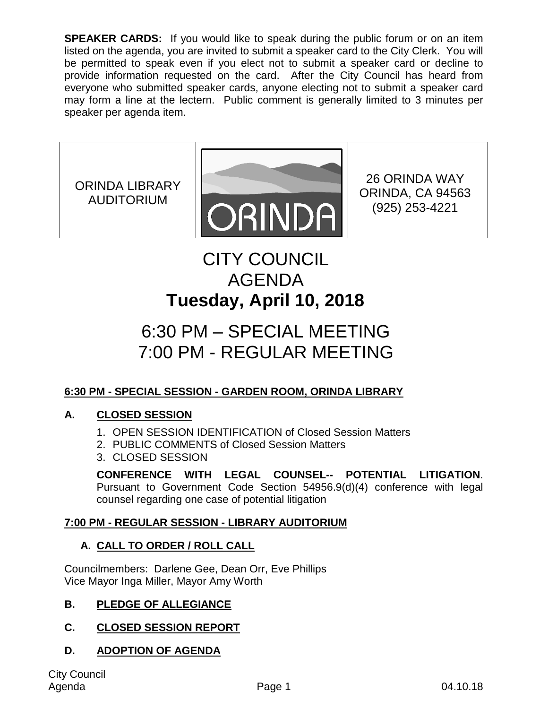**SPEAKER CARDS:** If you would like to speak during the public forum or on an item listed on the agenda, you are invited to submit a speaker card to the City Clerk. You will be permitted to speak even if you elect not to submit a speaker card or decline to provide information requested on the card. After the City Council has heard from everyone who submitted speaker cards, anyone electing not to submit a speaker card may form a line at the lectern. Public comment is generally limited to 3 minutes per speaker per agenda item.

ORINDA LIBRARY AUDITORIUM



26 ORINDA WAY ORINDA, CA 94563 (925) 253-4221

# CITY COUNCIL AGENDA **Tuesday, April 10, 2018**

# 6:30 PM – SPECIAL MEETING 7:00 PM - REGULAR MEETING

# **6:30 PM - SPECIAL SESSION - GARDEN ROOM, ORINDA LIBRARY**

# **A. CLOSED SESSION**

- 1. OPEN SESSION IDENTIFICATION of Closed Session Matters
- 2. PUBLIC COMMENTS of Closed Session Matters
- 3. CLOSED SESSION

**CONFERENCE WITH LEGAL COUNSEL-- POTENTIAL LITIGATION**. Pursuant to Government Code Section 54956.9(d)(4) conference with legal counsel regarding one case of potential litigation

# **7:00 PM - REGULAR SESSION - LIBRARY AUDITORIUM**

# **A. CALL TO ORDER / ROLL CALL**

Councilmembers: Darlene Gee, Dean Orr, Eve Phillips Vice Mayor Inga Miller, Mayor Amy Worth

# **B. PLEDGE OF ALLEGIANCE**

# **C. CLOSED SESSION REPORT**

# **D. ADOPTION OF AGENDA**

City Council Agenda Page 1 04.10.18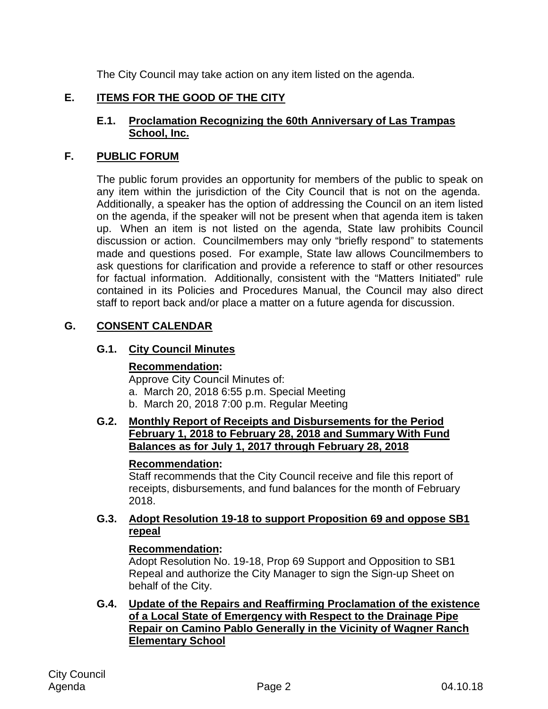The City Council may take action on any item listed on the agenda.

## **E. ITEMS FOR THE GOOD OF THE CITY**

#### **E.1. Proclamation Recognizing the 60th Anniversary of Las Trampas School, Inc.**

#### **F. PUBLIC FORUM**

The public forum provides an opportunity for members of the public to speak on any item within the jurisdiction of the City Council that is not on the agenda. Additionally, a speaker has the option of addressing the Council on an item listed on the agenda, if the speaker will not be present when that agenda item is taken up. When an item is not listed on the agenda, State law prohibits Council discussion or action. Councilmembers may only "briefly respond" to statements made and questions posed. For example, State law allows Councilmembers to ask questions for clarification and provide a reference to staff or other resources for factual information. Additionally, consistent with the "Matters Initiated" rule contained in its Policies and Procedures Manual, the Council may also direct staff to report back and/or place a matter on a future agenda for discussion.

#### **G. CONSENT CALENDAR**

#### **G.1. City Council Minutes**

#### **Recommendation:**

Approve City Council Minutes of:

- a. March 20, 2018 6:55 p.m. Special Meeting
- b. March 20, 2018 7:00 p.m. Regular Meeting

#### **G.2. Monthly Report of Receipts and Disbursements for the Period February 1, 2018 to February 28, 2018 and Summary With Fund Balances as for July 1, 2017 through February 28, 2018**

#### **Recommendation:**

Staff recommends that the City Council receive and file this report of receipts, disbursements, and fund balances for the month of February 2018.

#### **G.3. Adopt Resolution 19-18 to support Proposition 69 and oppose SB1 repeal**

#### **Recommendation:**

Adopt Resolution No. 19-18, Prop 69 Support and Opposition to SB1 Repeal and authorize the City Manager to sign the Sign-up Sheet on behalf of the City.

**G.4. Update of the Repairs and Reaffirming Proclamation of the existence of a Local State of Emergency with Respect to the Drainage Pipe Repair on Camino Pablo Generally in the Vicinity of Wagner Ranch Elementary School**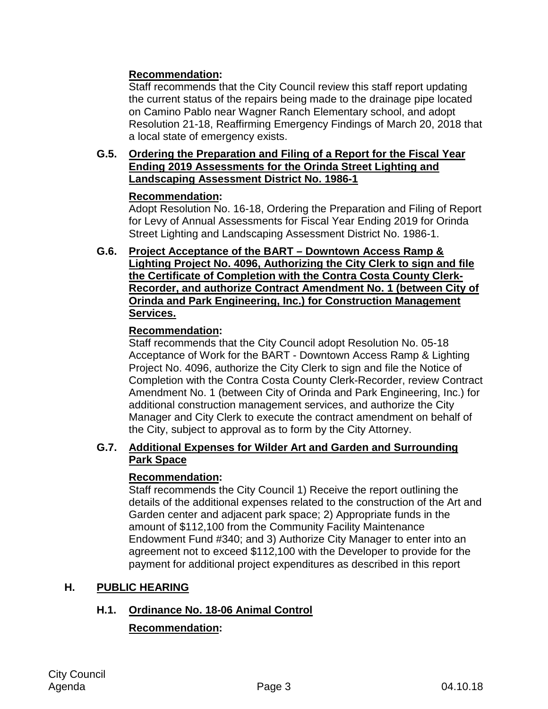## **Recommendation:**

Staff recommends that the City Council review this staff report updating the current status of the repairs being made to the drainage pipe located on Camino Pablo near Wagner Ranch Elementary school, and adopt Resolution 21-18, Reaffirming Emergency Findings of March 20, 2018 that a local state of emergency exists.

#### **G.5. Ordering the Preparation and Filing of a Report for the Fiscal Year Ending 2019 Assessments for the Orinda Street Lighting and Landscaping Assessment District No. 1986-1**

## **Recommendation:**

Adopt Resolution No. 16-18, Ordering the Preparation and Filing of Report for Levy of Annual Assessments for Fiscal Year Ending 2019 for Orinda Street Lighting and Landscaping Assessment District No. 1986-1.

**G.6. Project Acceptance of the BART – Downtown Access Ramp & Lighting Project No. 4096, Authorizing the City Clerk to sign and file the Certificate of Completion with the Contra Costa County Clerk-Recorder, and authorize Contract Amendment No. 1 (between City of Orinda and Park Engineering, Inc.) for Construction Management Services.**

## **Recommendation:**

Staff recommends that the City Council adopt Resolution No. 05-18 Acceptance of Work for the BART - Downtown Access Ramp & Lighting Project No. 4096, authorize the City Clerk to sign and file the Notice of Completion with the Contra Costa County Clerk-Recorder, review Contract Amendment No. 1 (between City of Orinda and Park Engineering, Inc.) for additional construction management services, and authorize the City Manager and City Clerk to execute the contract amendment on behalf of the City, subject to approval as to form by the City Attorney.

#### **G.7. Additional Expenses for Wilder Art and Garden and Surrounding Park Space**

## **Recommendation:**

Staff recommends the City Council 1) Receive the report outlining the details of the additional expenses related to the construction of the Art and Garden center and adjacent park space; 2) Appropriate funds in the amount of \$112,100 from the Community Facility Maintenance Endowment Fund #340; and 3) Authorize City Manager to enter into an agreement not to exceed \$112,100 with the Developer to provide for the payment for additional project expenditures as described in this report

## **H. PUBLIC HEARING**

## **H.1. Ordinance No. 18-06 Animal Control**

# **Recommendation:**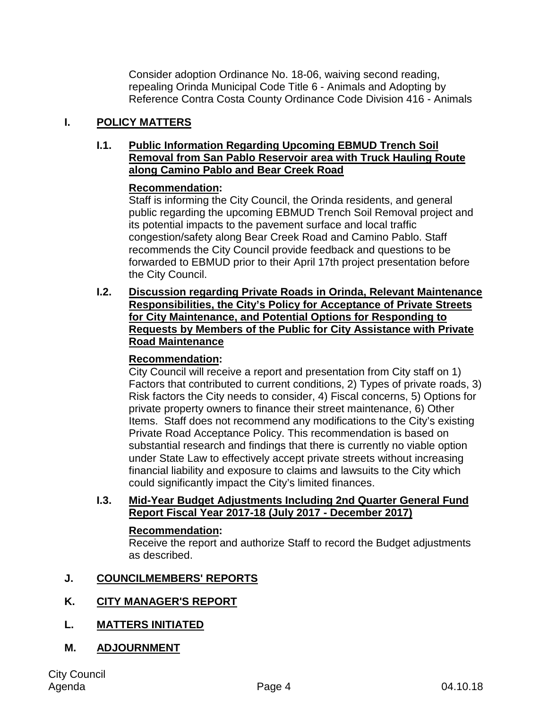Consider adoption Ordinance No. 18-06, waiving second reading, repealing Orinda Municipal Code Title 6 - Animals and Adopting by Reference Contra Costa County Ordinance Code Division 416 - Animals

## **I. POLICY MATTERS**

#### **I.1. Public Information Regarding Upcoming EBMUD Trench Soil Removal from San Pablo Reservoir area with Truck Hauling Route along Camino Pablo and Bear Creek Road**

## **Recommendation:**

Staff is informing the City Council, the Orinda residents, and general public regarding the upcoming EBMUD Trench Soil Removal project and its potential impacts to the pavement surface and local traffic congestion/safety along Bear Creek Road and Camino Pablo. Staff recommends the City Council provide feedback and questions to be forwarded to EBMUD prior to their April 17th project presentation before the City Council.

**I.2. Discussion regarding Private Roads in Orinda, Relevant Maintenance Responsibilities, the City's Policy for Acceptance of Private Streets for City Maintenance, and Potential Options for Responding to Requests by Members of the Public for City Assistance with Private Road Maintenance**

## **Recommendation:**

City Council will receive a report and presentation from City staff on 1) Factors that contributed to current conditions, 2) Types of private roads, 3) Risk factors the City needs to consider, 4) Fiscal concerns, 5) Options for private property owners to finance their street maintenance, 6) Other Items. Staff does not recommend any modifications to the City's existing Private Road Acceptance Policy. This recommendation is based on substantial research and findings that there is currently no viable option under State Law to effectively accept private streets without increasing financial liability and exposure to claims and lawsuits to the City which could significantly impact the City's limited finances.

#### **I.3. Mid-Year Budget Adjustments Including 2nd Quarter General Fund Report Fiscal Year 2017-18 (July 2017 - December 2017)**

## **Recommendation:**

Receive the report and authorize Staff to record the Budget adjustments as described.

## **J. COUNCILMEMBERS' REPORTS**

# **K. CITY MANAGER'S REPORT**

**L. MATTERS INITIATED**

# **M. ADJOURNMENT**